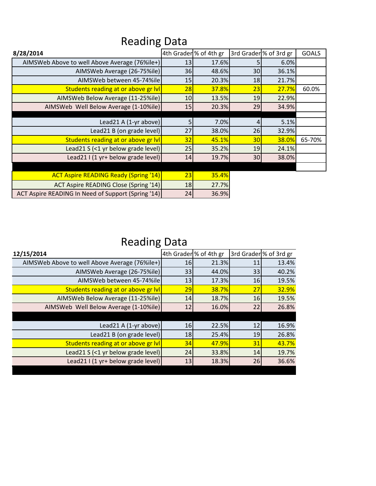| 8/28/2014                                          |    | 4th Grader % of 4th gr |    | 3rd Grader <sup>1</sup> % of 3rd gr | <b>GOALS</b> |
|----------------------------------------------------|----|------------------------|----|-------------------------------------|--------------|
| AIMSWeb Above to well Above Average (76%ile+)      | 13 | 17.6%                  |    | 6.0%                                |              |
| AIMSWeb Average (26-75%ile)                        | 36 | 48.6%                  | 30 | 36.1%                               |              |
| AIMSWeb between 45-74%ile                          | 15 | 20.3%                  | 18 | 21.7%                               |              |
| Students reading at or above gr IvI                | 28 | 37.8%                  | 23 | 27.7%                               | 60.0%        |
| AIMSWeb Below Average (11-25%ile)                  | 10 | 13.5%                  | 19 | 22.9%                               |              |
| AIMSWeb Well Below Average (1-10%ile)              | 15 | 20.3%                  | 29 | 34.9%                               |              |
|                                                    |    |                        |    |                                     |              |
| Lead21 A $(1-yr$ above)                            | 5  | 7.0%                   |    | 5.1%                                |              |
| Lead21 B (on grade level)                          | 27 | 38.0%                  | 26 | 32.9%                               |              |
| Students reading at or above gr IvI                | 32 | 45.1%                  | 30 | 38.0%                               | 65-70%       |
| Lead21 S (<1 yr below grade level)                 | 25 | 35.2%                  | 19 | 24.1%                               |              |
| Lead21 I (1 yr+ below grade level)                 | 14 | 19.7%                  | 30 | 38.0%                               |              |
|                                                    |    |                        |    |                                     |              |
| <b>ACT Aspire READING Ready (Spring '14)</b>       | 23 | 35.4%                  |    |                                     |              |
| <b>ACT Aspire READING Close (Spring '14)</b>       | 18 | 27.7%                  |    |                                     |              |
| ACT Aspire READING In Need of Support (Spring '14) | 24 | 36.9%                  |    |                                     |              |

## Reading Data

## Reading Data

| 12/15/2014                                    |           | 4th Grader % of 4th gr |    | 3rd Grader % of 3rd gr |
|-----------------------------------------------|-----------|------------------------|----|------------------------|
| AIMSWeb Above to well Above Average (76%ile+) | <b>16</b> | 21.3%                  | 11 | 13.4%                  |
| AIMSWeb Average (26-75%ile)                   | 33        | 44.0%                  | 33 | 40.2%                  |
| AIMSWeb between 45-74%ile                     | 13        | 17.3%                  | 16 | 19.5%                  |
| Students reading at or above gr IvI           | 29        | 38.7%                  | 27 | 32.9%                  |
| AIMSWeb Below Average (11-25%ile)             | 14        | 18.7%                  | 16 | 19.5%                  |
| AIMSWeb Well Below Average (1-10%ile)         | 12        | 16.0%                  | 22 | 26.8%                  |
|                                               |           |                        |    |                        |
| Lead21 A (1-yr above)                         | 16        | 22.5%                  | 12 | 16.9%                  |
| Lead21 B (on grade level)                     | 18        | 25.4%                  | 19 | 26.8%                  |
| Students reading at or above gr IvI           | 34        | 47.9%                  | 31 | 43.7%                  |
| Lead21 S (<1 yr below grade level)            | 24        | 33.8%                  | 14 | 19.7%                  |
| Lead21 I (1 yr+ below grade level)            | 13        | 18.3%                  | 26 | 36.6%                  |
|                                               |           |                        |    |                        |